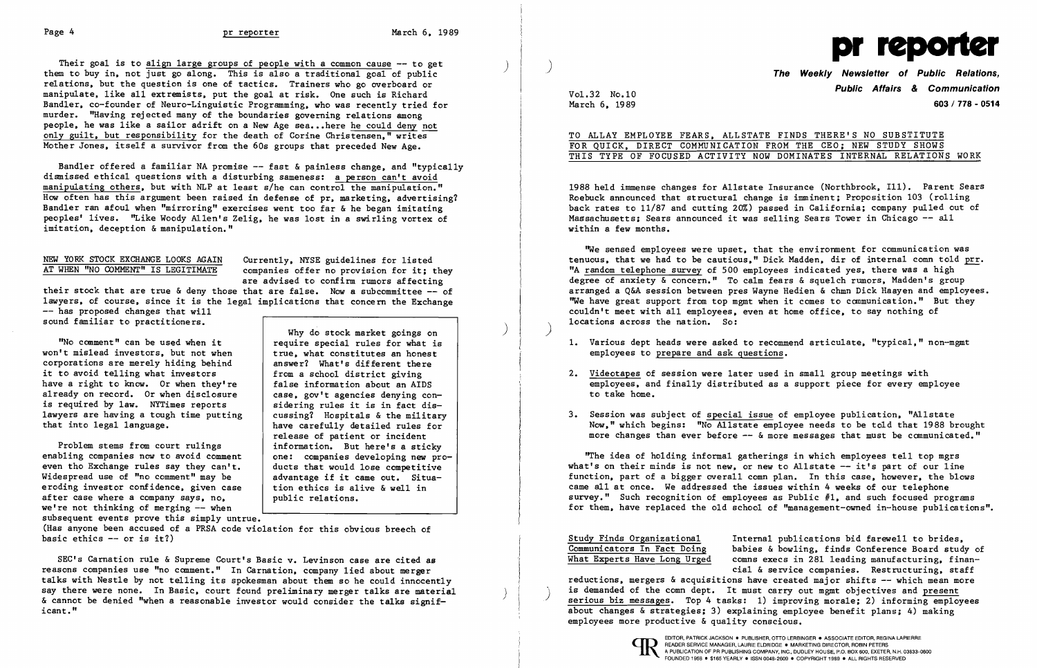Their goal is to align large groups of people with a common cause -- to get them to buy in. not just go along. This is also a traditional goal of public relations. but the question is one of tactics. Trainers who go overboard or manipulate. like all extremists. put the goal at risk. One such is Richard Band1er. co-founder of Neuro-Linguistic Programming. who was recently tried for murder. "Having rejected many of the boundaries governing relations among people. he was like a sailor adrift on a New Age sea... here he could deny not only guilt. but responsibility for the death of Corine Christensen." writes Mother Jones. itself a survivor from the 60s groups that preceded New Age.

Bandler offered a familiar NA promise  $-$  fast & painless change, and "typically dismissed ethical questions with a disturbing sameness: a person can't avoid manipulating others, but with NLP at least s/he can control the manipulation." How often has this argument been raised in defense of pr. marketing, advertising? Band1er ran afoul when "mirroring" exercises went too far & he began imitating peoples' lives. "Like Woody Allen's Zelig, he was lost in a swirling vortex of imitation. deception & manipulation."

NEW YORK STOCK EXCHANGE LOOKS AGAIN Currently, NYSE guidelines for listed<br>AT WHEN "NO COMMENT" IS LEGITIMATE companies offer no provision for it: t companies offer no provision for it; they are advised to confirm rumors affecting

their stock that are true & deny those that are false. Now a subcommittee -- of lawyers, of course, since it is the legal implications that concern the Exchange -- has proposed changes that will

(Has anyone been accused of a PRSA code violation for this obvious breech of basic ethics  $--$  or is it?)

sound familiar to practitioners.

"No comment" can be used when it won't mislead investors. but not when corporations are merely hiding behind it to avoid telling what investors have a right to know. Or when they're already on record. Or when disclosure is required by law. NYTimes reports lawyers are having a tough time putting that into legal language.

Problem stems from court rulings enabling companies now to avoid comment even tho Exchange rules say they can't. Widespread use of "no comment" may be eroding investor confidence. given case after case where a company says. no. we're not thinking of merging -- when subsequent events prove this simply untrue. Now." which begins: "No Allstate employee needs to be told that 1988 brought more changes than ever before  $-\text{-}$  & more messages that must be communicated."

Why do stock market goings on require special rules for what is true. what constitutes an honest answer? What's different there from a school district giving false information about an AIDS case. gov't agencies denying considering rules it is in fact discussing? Hospitals & the military have carefully detailed rules for release of patient or incident information. But here's a sticky one: companies developing new products that would lose competitive advantage if it came out. Situation ethics is alive & well in public relations.

SEC's Carnation rule & Supreme Court's Basic v. Levinson case are cited as reasons companies use "no comment." In Carnation. company lied about merger talks with Nestle by not telling its spokesman about them so he could innocently say there were none. In Basic, court found preliminary merger talks are material & cannot be denied "when a reasonable investor would consider the talks significant. "

 $March 6, 1989$ 

)

)



**Public Affairs** *&* **Communication** Vo1.32 No.10

1. Various dept heads were asked to recommend articulate, "typical," non-mgmt

TO ALLAY EMPLOYEE FEARS. ALLSTATE FINDS THERE'S NO SUBSTITUTE FOR QUICK. DIRECT COMMUNICATION FROM THE CEO; NEW STUDY SHOWS THIS TYPE OF FOCUSED ACTIVITY NOW DOMINATES INTERNAL RELATIONS WORK

1988 held immense changes for Allstate Insurance (Northbrook. Ill). Parent Sears Roebuck announced that structural change is imminent; Proposition 103 (rolling back rates to 11/87 and cutting 20%) passed in California; company pulled out of Massachusetts: Sears announced it was selling Sears Tower in Chicago -- all within a few months.

"We sensed employees were upset, that the environment for communication was tenuous, that we had to be cautious," Dick Madden, dir of internal comn told prr. "A random telephone survey of 500 employees indicated yes. there was a high degree of anxiety & concern." To calm fears & squelch rumors. Madden's group arranged a Q&A session between pres Wayne Hedien & chmn Dick Haayen and employees. "We have great support from top mgmt when it comes to communication." But they couldn't meet with all employees. even at home office. to say nothing of locations across the nation. So:

- employees to prepare and ask guestions.
- 2. Videotapes of session were later used in small group meetings with to take home.
- 3. Session was subject of special issue of employee publication. "Allstate

employees. and finally distributed as a support piece for every employee

"The idea of holding informal gatherings in which employees tell top mgrs what's on their minds is not new, or new to Allstate  $-$  it's part of our line function. part of a bigger overall comn plan. In this case. however. the blows came all at once. We addressed the issues within 4 weeks of our telephone survey." Such recognition of employees as Public  $#1$ , and such focused programs for them. have replaced the old school of "management-owned in-house publications".

Study Finds Organizational Internal publications bid farewell to brides,<br>Communicators In Fact Doing babies & bowling, finds Conference Board stud Communicators In Fact Doing babies & bowling, finds Conference Board study of What Experts Have Long Urged comms execs in 281 leading manufacturing, financomns execs in 281 leading manufacturing, financial & service companies. Restructuring. staff reductions. mergers & acquisitions have created major shifts -- which mean more is demanded of the comn dept. It must carry out mgmt objectives and present serious biz messages. Top 4 tasks: 1) improving morale; 2) informing employees about changes & strategies; 3) explaining employee benefit plans; 4) making employees more productive & quality conscious.

)